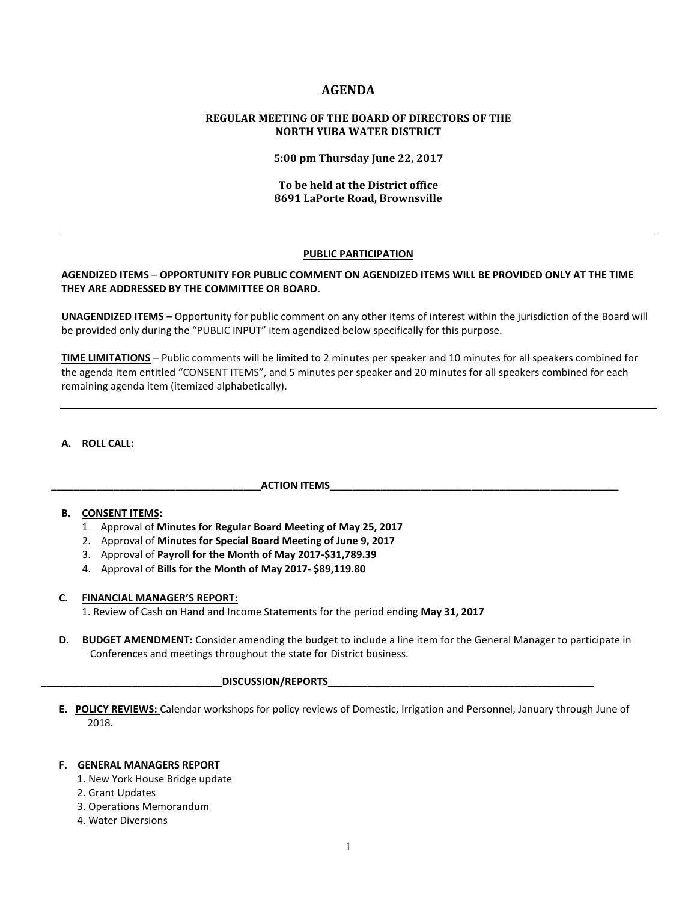# **AGENDA**

## **REGULAR MEETING OF THE BOARD OF DIRECTORS OF THE NORTH YUBA WATER DISTRICT**

**5:00 pm Thursday June 22, 2017**

### **To be held at the District office 8691 LaPorte Road, Brownsville**

### **PUBLIC PARTICIPATION**

## **AGENDIZED ITEMS** – **OPPORTUNITY FOR PUBLIC COMMENT ON AGENDIZED ITEMS WILL BE PROVIDED ONLY AT THE TIME THEY ARE ADDRESSED BY THE COMMITTEE OR BOARD**.

**UNAGENDIZED ITEMS** – Opportunity for public comment on any other items of interest within the jurisdiction of the Board will be provided only during the "PUBLIC INPUT" item agendized below specifically for this purpose.

**TIME LIMITATIONS** – Public comments will be limited to 2 minutes per speaker and 10 minutes for all speakers combined for the agenda item entitled "CONSENT ITEMS", and 5 minutes per speaker and 20 minutes for all speakers combined for each remaining agenda item (itemized alphabetically).

### **A. ROLL CALL:**

### **\_\_\_\_\_\_\_\_\_\_\_\_\_\_\_\_\_\_\_\_\_\_\_\_\_\_\_\_\_\_\_\_\_\_\_\_\_ACTION ITEMS\_\_\_\_\_\_\_\_\_\_\_\_\_\_\_\_\_\_\_\_\_\_\_\_\_\_\_\_\_\_\_\_\_\_\_\_\_\_\_\_\_\_\_\_\_\_\_\_\_\_\_**

### **B. CONSENT ITEMS:**

- 1 Approval of **Minutes for Regular Board Meeting of May 25, 2017**
- 2. Approval of **Minutes for Special Board Meeting of June 9, 2017**
- 3. Approval of **Payroll for the Month of May 2017-\$31,789.39**
- 4. Approval of **Bills for the Month of May 2017- \$89,119.80**

### **C. FINANCIAL MANAGER'S REPORT:**

1. Review of Cash on Hand and Income Statements for the period ending **May 31, 2017**

 **D. BUDGET AMENDMENT:** Consider amending the budget to include a line item for the General Manager to participate in Conferences and meetings throughout the state for District business.

#### **\_\_\_\_\_\_\_\_\_\_\_\_\_\_\_\_\_\_\_\_\_\_\_\_\_\_\_\_\_\_\_\_DISCUSSION/REPORTS\_\_\_\_\_\_\_\_\_\_\_\_\_\_\_\_\_\_\_\_\_\_\_\_\_\_\_\_\_\_\_\_\_\_\_\_\_\_\_\_\_\_\_\_\_\_\_**

 **E. POLICY REVIEWS:** Calendar workshops for policy reviews of Domestic, Irrigation and Personnel, January through June of 2018.

### **F. GENERAL MANAGERS REPORT**

- 1. New York House Bridge update
- 2. Grant Updates
- 3. Operations Memorandum
- 4. Water Diversions